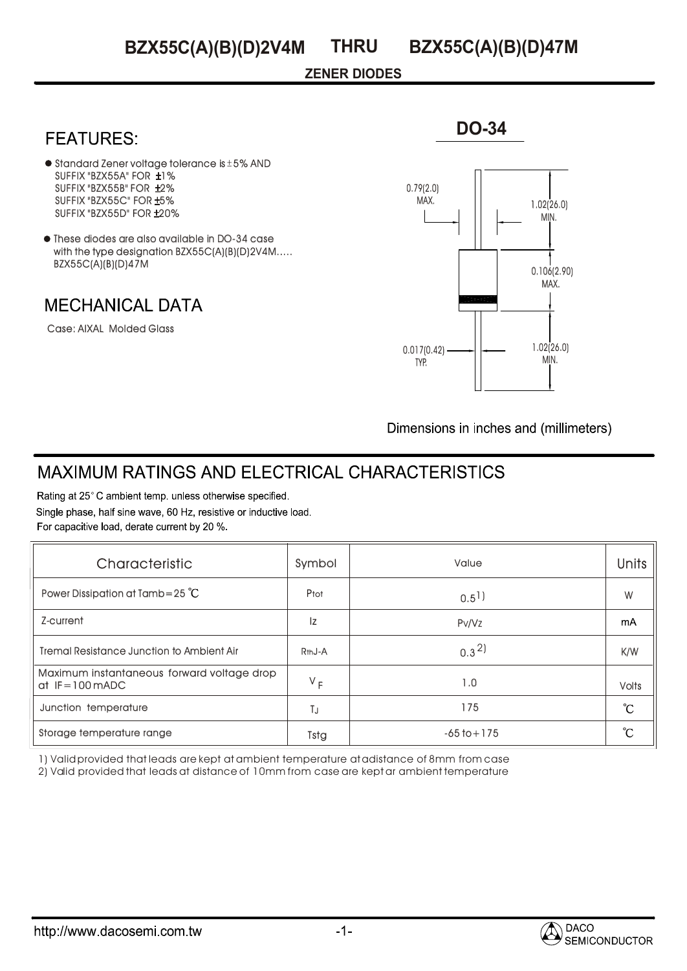### **ZENER DIODES**

## **FEATURES:**

- $\bullet$  Standard Zener voltage tolerance is  $\pm$  5% AND SUFFIX "BZX55A" FOR ±1% SUFFIX "BZX55B" FOR ±2% SUFFIX "BZX55C" FOR ±5% SUFFIX "BZX55D" FOR ±20%
- $\bullet$  These diodes are also available in DO-34 case with the type designation BZX55C(A)(B)(D)2V4M..... BZX55C(A)(B)(D)47M

### **MECHANICAL DATA**

Case: AIXAL Molded Glass



**DO-34**

Dimensions in inches and (millimeters)

# **MAXIMUM RATINGS AND ELECTRICAL CHARACTERISTICS**

Rating at 25°C ambient temp. unless otherwise specified. Single phase, half sine wave, 60 Hz, resistive or inductive load. For capacitive load, derate current by 20 %.

| Characteristic                                                 | Symbol              | Value              | <b>Units</b>      |
|----------------------------------------------------------------|---------------------|--------------------|-------------------|
| Power Dissipation at Tamb=25 $^{\circ}$ C                      | Ptot                | $0.5$ <sup>1</sup> | W                 |
| Z-current                                                      | Iz                  | Pv/Vz              | mA                |
| <b>Tremal Resistance Junction to Ambient Air</b>               | R <sub>th</sub> J-A | $0.3^{2}$          | K/W               |
| Maximum instantaneous forward voltage drop<br>$dt$ IF=100 mADC | $V_F$               | 1.0                | <b>Volts</b>      |
| Junction temperature                                           | ТJ                  | 175                | $\rm ^{\circ}\!C$ |
| Storage temperature range                                      | Tstg                | $-65$ to $+175$    | °C                |

1) Valid provided that leads are kept at ambient temperature at adistance of 8mm from case

2) Valid provided that leads at distance of 10mm from case are kept ar ambient temperature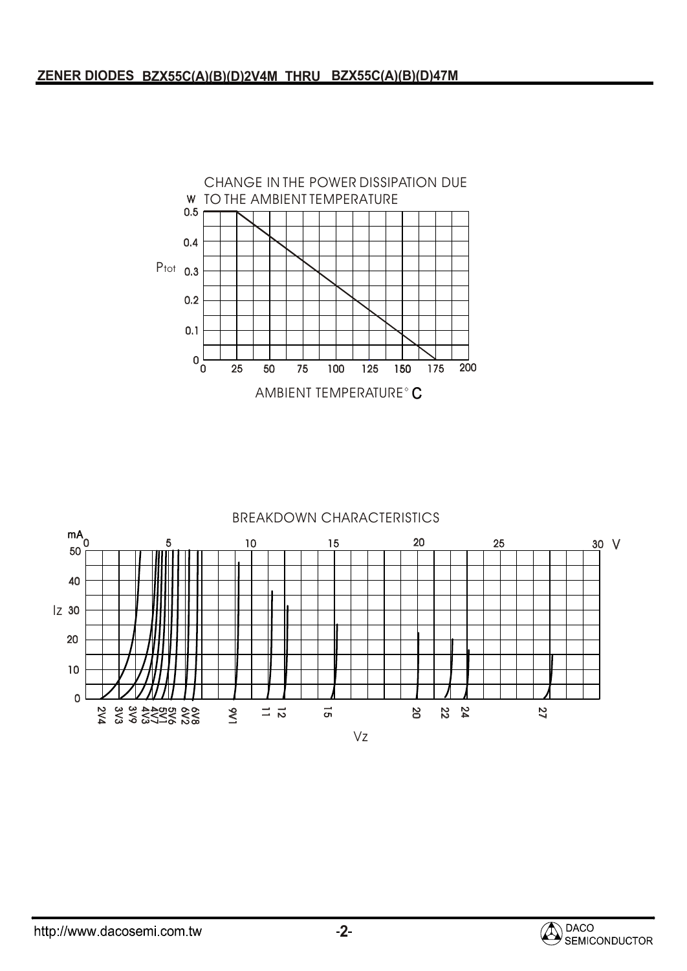

#### BREAKDOWN CHARACTERISTICS